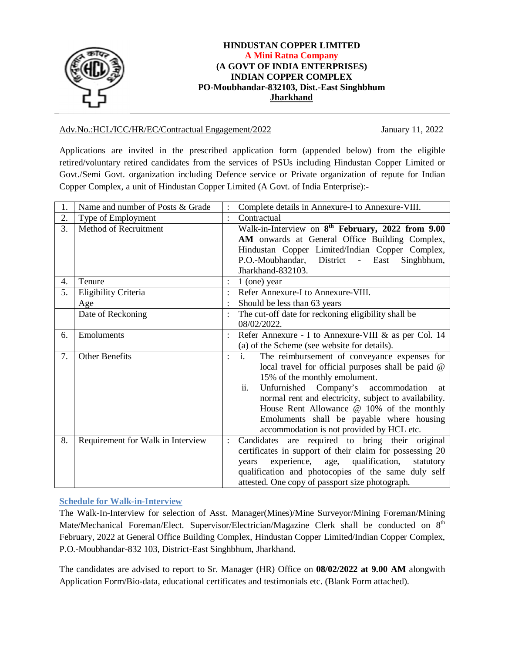

#### **HINDUSTAN COPPER LIMITED A Mini Ratna Company (A GOVT OF INDIA ENTERPRISES) INDIAN COPPER COMPLEX PO-Moubhandar-832103, Dist.-East Singhbhum Jharkhand**

#### Adv.No.:HCL/ICC/HR/EC/Contractual Engagement/2022 January 11, 2022

Applications are invited in the prescribed application form (appended below) from the eligible retired/voluntary retired candidates from the services of PSUs including Hindustan Copper Limited or Govt./Semi Govt. organization including Defence service or Private organization of repute for Indian Copper Complex, a unit of Hindustan Copper Limited (A Govt. of India Enterprise):-

| 1. | Name and number of Posts & Grade  |                      | Complete details in Annexure-I to Annexure-VIII.                                                                                                                                                                                                                                                                                                                                                          |
|----|-----------------------------------|----------------------|-----------------------------------------------------------------------------------------------------------------------------------------------------------------------------------------------------------------------------------------------------------------------------------------------------------------------------------------------------------------------------------------------------------|
| 2. | Type of Employment                | $\ddot{\phantom{a}}$ | Contractual                                                                                                                                                                                                                                                                                                                                                                                               |
| 3. | Method of Recruitment             |                      | Walk-in-Interview on $8^{th}$ February, 2022 from 9.00<br>AM onwards at General Office Building Complex,<br>Hindustan Copper Limited/Indian Copper Complex,<br>P.O.-Moubhandar, District - East<br>Singhbhum,<br>Jharkhand-832103.                                                                                                                                                                        |
| 4. | Tenure                            |                      | $1$ (one) year                                                                                                                                                                                                                                                                                                                                                                                            |
| 5. | Eligibility Criteria              |                      | Refer Annexure-I to Annexure-VIII.                                                                                                                                                                                                                                                                                                                                                                        |
|    | Age                               |                      | Should be less than 63 years                                                                                                                                                                                                                                                                                                                                                                              |
|    | Date of Reckoning                 |                      | The cut-off date for reckoning eligibility shall be<br>08/02/2022.                                                                                                                                                                                                                                                                                                                                        |
| 6. | Emoluments                        |                      | Refer Annexure - I to Annexure-VIII & as per Col. 14<br>(a) of the Scheme (see website for details).                                                                                                                                                                                                                                                                                                      |
| 7. | <b>Other Benefits</b>             | $\ddot{\cdot}$       | $\mathbf{i}$ .<br>The reimbursement of conveyance expenses for<br>local travel for official purposes shall be paid @<br>15% of the monthly emolument.<br>Unfurnished Company's accommodation<br>ii.<br>at<br>normal rent and electricity, subject to availability.<br>House Rent Allowance @ 10% of the monthly<br>Emoluments shall be payable where housing<br>accommodation is not provided by HCL etc. |
| 8. | Requirement for Walk in Interview | $\ddot{\phantom{a}}$ | Candidates are required to bring their original<br>certificates in support of their claim for possessing 20<br>experience, age, qualification,<br>statutory<br>years<br>qualification and photocopies of the same duly self<br>attested. One copy of passport size photograph.                                                                                                                            |

#### **Schedule for Walk-in-Interview**

The Walk-In-Interview for selection of Asst. Manager(Mines)/Mine Surveyor/Mining Foreman/Mining Mate/Mechanical Foreman/Elect. Supervisor/Electrician/Magazine Clerk shall be conducted on 8<sup>th</sup> February, 2022 at General Office Building Complex, Hindustan Copper Limited/Indian Copper Complex, P.O.-Moubhandar-832 103, District-East Singhbhum, Jharkhand.

The candidates are advised to report to Sr. Manager (HR) Office on **08/02/2022 at 9.00 AM** alongwith Application Form/Bio-data, educational certificates and testimonials etc. (Blank Form attached).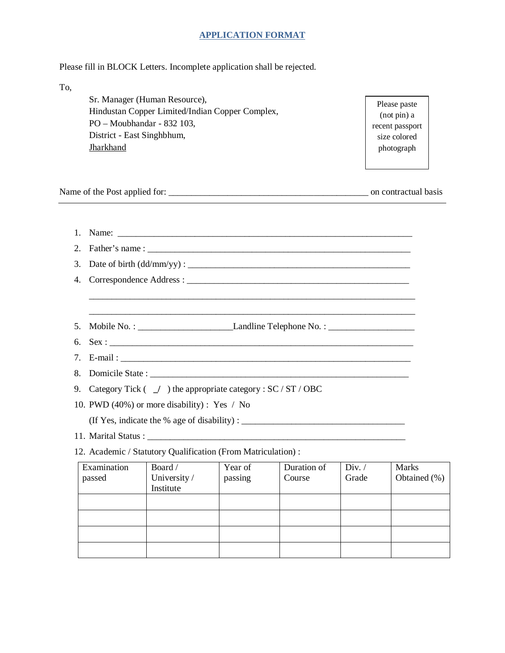#### **APPLICATION FORMAT**

Please fill in BLOCK Letters. Incomplete application shall be rejected.

To,

Sr. Manager (Human Resource), Hindustan Copper Limited/Indian Copper Complex, PO – Moubhandar - 832 103, District - East Singhbhum, **Jharkhand** 

Please paste (not pin) a recent passport size colored photograph

Name of the Post applied for: \_\_\_\_\_\_\_\_\_\_\_\_\_\_\_\_\_\_\_\_\_\_\_\_\_\_\_\_\_\_\_\_\_\_\_\_\_\_\_\_\_\_\_\_ on contractual basis

| $1_{-}$ |                                                            |                                                                       |                    |                       |                 |                              |
|---------|------------------------------------------------------------|-----------------------------------------------------------------------|--------------------|-----------------------|-----------------|------------------------------|
| 2.      |                                                            |                                                                       |                    |                       |                 |                              |
| 3.      |                                                            |                                                                       |                    |                       |                 |                              |
| 4.      |                                                            | Correspondence Address:                                               |                    |                       |                 |                              |
|         |                                                            |                                                                       |                    |                       |                 |                              |
|         |                                                            |                                                                       |                    |                       |                 |                              |
| 5.      |                                                            |                                                                       |                    |                       |                 |                              |
| 6.      |                                                            |                                                                       |                    |                       |                 |                              |
| 7.      |                                                            |                                                                       |                    |                       |                 |                              |
| 8.      |                                                            |                                                                       |                    |                       |                 |                              |
| 9.      |                                                            | Category Tick $($ $\angle$ ) the appropriate category : SC / ST / OBC |                    |                       |                 |                              |
|         |                                                            | 10. PWD (40%) or more disability) : Yes / No                          |                    |                       |                 |                              |
|         | (If Yes, indicate the % age of disability) : $\frac{1}{1}$ |                                                                       |                    |                       |                 |                              |
|         |                                                            |                                                                       |                    |                       |                 |                              |
|         |                                                            | 12. Academic / Statutory Qualification (From Matriculation) :         |                    |                       |                 |                              |
|         | Examination<br>passed                                      | Board /<br>University /<br>Institute                                  | Year of<br>passing | Duration of<br>Course | Div. /<br>Grade | <b>Marks</b><br>Obtained (%) |
|         |                                                            |                                                                       |                    |                       |                 |                              |
|         |                                                            |                                                                       |                    |                       |                 |                              |
|         |                                                            |                                                                       |                    |                       |                 |                              |
|         |                                                            |                                                                       |                    |                       |                 |                              |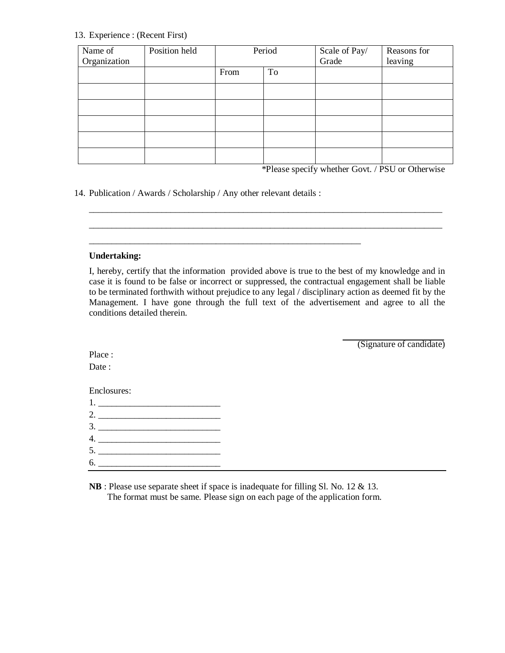#### 13. Experience : (Recent First)

| Name of      | Position held | Period |    | Scale of Pay/<br>Grade | Reasons for |
|--------------|---------------|--------|----|------------------------|-------------|
| Organization |               |        |    |                        | leaving     |
|              |               | From   | To |                        |             |
|              |               |        |    |                        |             |
|              |               |        |    |                        |             |
|              |               |        |    |                        |             |
|              |               |        |    |                        |             |
|              |               |        |    |                        |             |

\*Please specify whether Govt. / PSU or Otherwise

14. Publication / Awards / Scholarship / Any other relevant details :

\_\_\_\_\_\_\_\_\_\_\_\_\_\_\_\_\_\_\_\_\_\_\_\_\_\_\_\_\_\_\_\_\_\_\_\_\_\_\_\_\_\_\_\_\_\_\_\_\_\_\_\_\_\_\_\_\_\_\_\_

#### **Undertaking:**

I, hereby, certify that the information provided above is true to the best of my knowledge and in case it is found to be false or incorrect or suppressed, the contractual engagement shall be liable to be terminated forthwith without prejudice to any legal / disciplinary action as deemed fit by the Management. I have gone through the full text of the advertisement and agree to all the conditions detailed therein.

\_\_\_\_\_\_\_\_\_\_\_\_\_\_\_\_\_\_\_\_\_\_\_\_\_\_\_\_\_\_\_\_\_\_\_\_\_\_\_\_\_\_\_\_\_\_\_\_\_\_\_\_\_\_\_\_\_\_\_\_\_\_\_\_\_\_\_\_\_\_\_\_\_\_\_\_\_\_ \_\_\_\_\_\_\_\_\_\_\_\_\_\_\_\_\_\_\_\_\_\_\_\_\_\_\_\_\_\_\_\_\_\_\_\_\_\_\_\_\_\_\_\_\_\_\_\_\_\_\_\_\_\_\_\_\_\_\_\_\_\_\_\_\_\_\_\_\_\_\_\_\_\_\_\_\_\_

(Signature of candidate)

Place : Date:

Enclosures:

| $\begin{array}{c} \n4. \quad \text{---} \quad \text{---} \quad \text{---} \quad \text{---} \quad \text{---} \quad \text{---} \quad \text{---} \quad \text{---} \quad \text{---} \quad \text{---} \quad \text{---} \quad \text{---} \quad \text{---} \quad \text{---} \quad \text{---} \quad \text{---} \quad \text{---} \quad \text{---} \quad \text{---} \quad \text{---} \quad \text{---} \quad \text{---} \quad \text{---} \quad \text{---} \quad \text{---} \quad \text{---} \quad \text{---} \quad \text{---} \quad \text{---} \quad \text{---$ |
|------------------------------------------------------------------------------------------------------------------------------------------------------------------------------------------------------------------------------------------------------------------------------------------------------------------------------------------------------------------------------------------------------------------------------------------------------------------------------------------------------------------------------------------------------|
|                                                                                                                                                                                                                                                                                                                                                                                                                                                                                                                                                      |
| 6.                                                                                                                                                                                                                                                                                                                                                                                                                                                                                                                                                   |

**NB** : Please use separate sheet if space is inadequate for filling Sl. No. 12 & 13. The format must be same. Please sign on each page of the application form.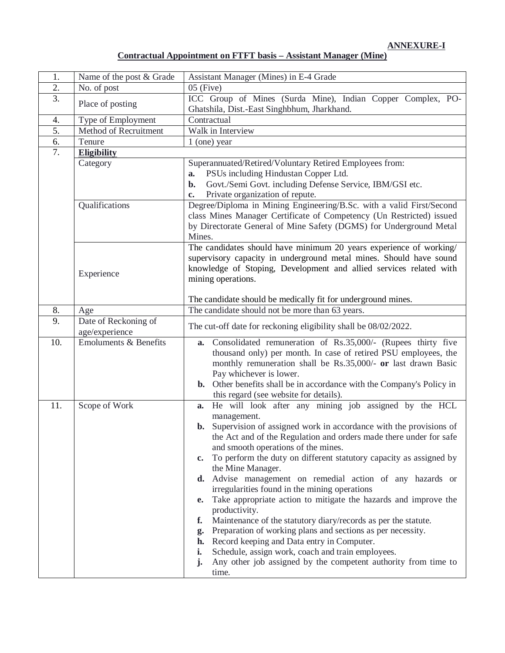**ANNEXURE-I**

| 1.               | Name of the post & Grade         | Assistant Manager (Mines) in E-4 Grade                                                                     |
|------------------|----------------------------------|------------------------------------------------------------------------------------------------------------|
| 2.               | No. of post                      | $05$ (Five)                                                                                                |
| 3.               | Place of posting                 | ICC Group of Mines (Surda Mine), Indian Copper Complex, PO-                                                |
|                  |                                  | Ghatshila, Dist.-East Singhbhum, Jharkhand.                                                                |
| 4.               | Type of Employment               | Contractual                                                                                                |
| 5.               | Method of Recruitment            | Walk in Interview                                                                                          |
| 6.               | Tenure                           | $1$ (one) year                                                                                             |
| $\overline{7}$ . | <b>Eligibility</b>               |                                                                                                            |
|                  | Category                         | Superannuated/Retired/Voluntary Retired Employees from:                                                    |
|                  |                                  | PSUs including Hindustan Copper Ltd.<br>a.                                                                 |
|                  |                                  | Govt./Semi Govt. including Defense Service, IBM/GSI etc.<br>b.                                             |
|                  |                                  | Private organization of repute.<br>c.                                                                      |
|                  | Qualifications                   | Degree/Diploma in Mining Engineering/B.Sc. with a valid First/Second                                       |
|                  |                                  | class Mines Manager Certificate of Competency (Un Restricted) issued                                       |
|                  |                                  | by Directorate General of Mine Safety (DGMS) for Underground Metal                                         |
|                  |                                  | Mines.                                                                                                     |
|                  |                                  | The candidates should have minimum 20 years experience of working/                                         |
|                  |                                  | supervisory capacity in underground metal mines. Should have sound                                         |
|                  |                                  | knowledge of Stoping, Development and allied services related with                                         |
|                  | Experience                       | mining operations.                                                                                         |
|                  |                                  |                                                                                                            |
|                  |                                  | The candidate should be medically fit for underground mines.                                               |
| 8.               | Age                              | The candidate should not be more than 63 years.                                                            |
| 9.               | Date of Reckoning of             |                                                                                                            |
|                  | age/experience                   | The cut-off date for reckoning eligibility shall be 08/02/2022.                                            |
| 10.              | <b>Emoluments &amp; Benefits</b> | Consolidated remuneration of Rs.35,000/- (Rupees thirty five                                               |
|                  |                                  | a.<br>thousand only) per month. In case of retired PSU employees, the                                      |
|                  |                                  | monthly remuneration shall be Rs.35,000/- or last drawn Basic                                              |
|                  |                                  | Pay whichever is lower.                                                                                    |
|                  |                                  | b. Other benefits shall be in accordance with the Company's Policy in                                      |
|                  |                                  | this regard (see website for details).                                                                     |
| 11.              | Scope of Work                    | He will look after any mining job assigned by the HCL                                                      |
|                  |                                  | a.                                                                                                         |
|                  |                                  | management.                                                                                                |
|                  |                                  | <b>b.</b> Supervision of assigned work in accordance with the provisions of                                |
|                  |                                  | the Act and of the Regulation and orders made there under for safe                                         |
|                  |                                  | and smooth operations of the mines.                                                                        |
|                  |                                  | To perform the duty on different statutory capacity as assigned by<br>c.<br>the Mine Manager.              |
|                  |                                  |                                                                                                            |
|                  |                                  | d. Advise management on remedial action of any hazards or<br>irregularities found in the mining operations |
|                  |                                  | Take appropriate action to mitigate the hazards and improve the                                            |
|                  |                                  | e.<br>productivity.                                                                                        |
|                  |                                  | Maintenance of the statutory diary/records as per the statute.<br>f.                                       |
|                  |                                  | Preparation of working plans and sections as per necessity.<br>g.                                          |
|                  |                                  | Record keeping and Data entry in Computer.<br>h.                                                           |
|                  |                                  | Schedule, assign work, coach and train employees.<br>i.                                                    |
|                  |                                  | Any other job assigned by the competent authority from time to<br>$\mathbf{j}$ .                           |
|                  |                                  | time.                                                                                                      |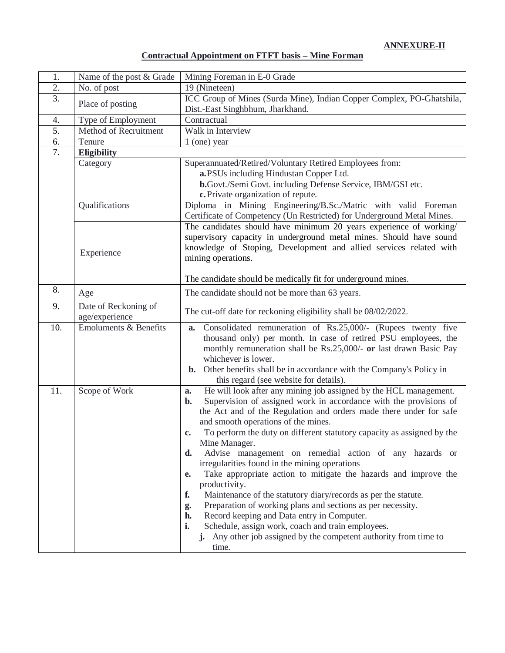**ANNEXURE-II**

### **Contractual Appointment on FTFT basis – Mine Forman**

| 1.               | Name of the post & Grade               | Mining Foreman in E-0 Grade                                                                                           |
|------------------|----------------------------------------|-----------------------------------------------------------------------------------------------------------------------|
| $\overline{2}$ . | No. of post                            | 19 (Nineteen)                                                                                                         |
| $\overline{3}$ . |                                        | ICC Group of Mines (Surda Mine), Indian Copper Complex, PO-Ghatshila,                                                 |
|                  | Place of posting                       | Dist.-East Singhbhum, Jharkhand.                                                                                      |
| 4.               | Type of Employment                     | Contractual                                                                                                           |
| 5.               | Method of Recruitment                  | Walk in Interview                                                                                                     |
| 6.               | Tenure                                 | $1$ (one) year                                                                                                        |
| 7.               | <b>Eligibility</b>                     |                                                                                                                       |
|                  | Category                               | Superannuated/Retired/Voluntary Retired Employees from:                                                               |
|                  |                                        | a.PSUs including Hindustan Copper Ltd.                                                                                |
|                  |                                        | b.Govt./Semi Govt. including Defense Service, IBM/GSI etc.                                                            |
|                  |                                        | c. Private organization of repute.                                                                                    |
|                  | Qualifications                         | Diploma in Mining Engineering/B.Sc./Matric with valid Foreman                                                         |
|                  |                                        | Certificate of Competency (Un Restricted) for Underground Metal Mines.                                                |
|                  |                                        | The candidates should have minimum 20 years experience of working/                                                    |
|                  |                                        | supervisory capacity in underground metal mines. Should have sound                                                    |
|                  | Experience                             | knowledge of Stoping, Development and allied services related with                                                    |
|                  |                                        | mining operations.                                                                                                    |
|                  |                                        | The candidate should be medically fit for underground mines.                                                          |
| 8.               |                                        |                                                                                                                       |
|                  | Age                                    | The candidate should not be more than 63 years.                                                                       |
| 9.               | Date of Reckoning of<br>age/experience | The cut-off date for reckoning eligibility shall be 08/02/2022.                                                       |
| 10.              | <b>Emoluments &amp; Benefits</b>       | Consolidated remuneration of Rs.25,000/- (Rupees twenty five<br>a.                                                    |
|                  |                                        | thousand only) per month. In case of retired PSU employees, the                                                       |
|                  |                                        | monthly remuneration shall be Rs.25,000/- or last drawn Basic Pay                                                     |
|                  |                                        | whichever is lower.                                                                                                   |
|                  |                                        | Other benefits shall be in accordance with the Company's Policy in<br>$\mathbf{b}$ .                                  |
|                  |                                        | this regard (see website for details).                                                                                |
| 11.              | Scope of Work                          | He will look after any mining job assigned by the HCL management.<br>a.                                               |
|                  |                                        | Supervision of assigned work in accordance with the provisions of<br>$\mathbf{b}$ .                                   |
|                  |                                        | the Act and of the Regulation and orders made there under for safe                                                    |
|                  |                                        | and smooth operations of the mines.                                                                                   |
|                  |                                        | To perform the duty on different statutory capacity as assigned by the<br>c.                                          |
|                  |                                        | Mine Manager.                                                                                                         |
|                  |                                        | Advise management on remedial action of any hazards or<br>d.                                                          |
|                  |                                        | irregularities found in the mining operations                                                                         |
|                  |                                        | Take appropriate action to mitigate the hazards and improve the<br>e.                                                 |
|                  |                                        | productivity.                                                                                                         |
|                  |                                        | Maintenance of the statutory diary/records as per the statute.<br>f.                                                  |
|                  |                                        | Preparation of working plans and sections as per necessity.<br>g.<br>Record keeping and Data entry in Computer.<br>h. |
|                  |                                        | i.<br>Schedule, assign work, coach and train employees.                                                               |
|                  |                                        | j. Any other job assigned by the competent authority from time to                                                     |
|                  |                                        | time.                                                                                                                 |
|                  |                                        |                                                                                                                       |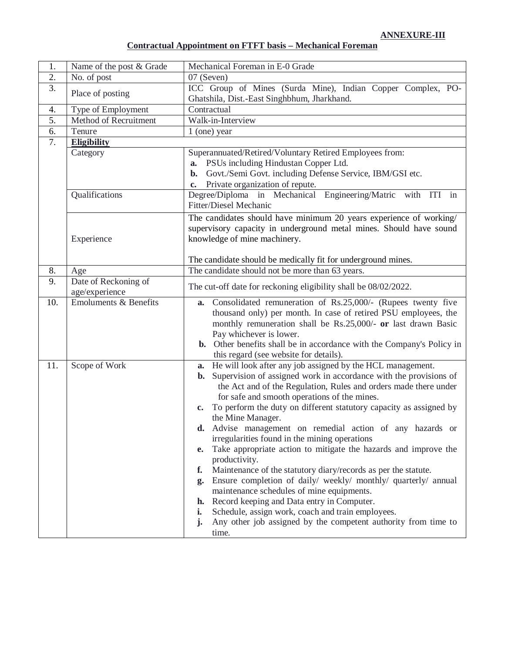# **Contractual Appointment on FTFT basis – Mechanical Foreman**

| 1.  | Name of the post & Grade               | Mechanical Foreman in E-0 Grade                                                                                                                                                                                                                                                                                                                                                                                                                                                                                                                                                                                                                                                                                                                                                                                                                                                                                                                                 |
|-----|----------------------------------------|-----------------------------------------------------------------------------------------------------------------------------------------------------------------------------------------------------------------------------------------------------------------------------------------------------------------------------------------------------------------------------------------------------------------------------------------------------------------------------------------------------------------------------------------------------------------------------------------------------------------------------------------------------------------------------------------------------------------------------------------------------------------------------------------------------------------------------------------------------------------------------------------------------------------------------------------------------------------|
| 2.  | No. of post                            | 07 (Seven)                                                                                                                                                                                                                                                                                                                                                                                                                                                                                                                                                                                                                                                                                                                                                                                                                                                                                                                                                      |
| 3.  | Place of posting                       | ICC Group of Mines (Surda Mine), Indian Copper Complex, PO-<br>Ghatshila, Dist.-East Singhbhum, Jharkhand.                                                                                                                                                                                                                                                                                                                                                                                                                                                                                                                                                                                                                                                                                                                                                                                                                                                      |
| 4.  | Type of Employment                     | Contractual                                                                                                                                                                                                                                                                                                                                                                                                                                                                                                                                                                                                                                                                                                                                                                                                                                                                                                                                                     |
| 5.  | Method of Recruitment                  | Walk-in-Interview                                                                                                                                                                                                                                                                                                                                                                                                                                                                                                                                                                                                                                                                                                                                                                                                                                                                                                                                               |
| 6.  | Tenure                                 | $1$ (one) year                                                                                                                                                                                                                                                                                                                                                                                                                                                                                                                                                                                                                                                                                                                                                                                                                                                                                                                                                  |
| 7.  | <b>Eligibility</b>                     |                                                                                                                                                                                                                                                                                                                                                                                                                                                                                                                                                                                                                                                                                                                                                                                                                                                                                                                                                                 |
|     | Category                               | Superannuated/Retired/Voluntary Retired Employees from:<br>PSUs including Hindustan Copper Ltd.<br>a.<br>Govt./Semi Govt. including Defense Service, IBM/GSI etc.<br>$\mathbf{b}$ .<br>Private organization of repute.<br>c.                                                                                                                                                                                                                                                                                                                                                                                                                                                                                                                                                                                                                                                                                                                                    |
|     | Qualifications                         | Degree/Diploma in Mechanical Engineering/Matric with ITI in<br>Fitter/Diesel Mechanic                                                                                                                                                                                                                                                                                                                                                                                                                                                                                                                                                                                                                                                                                                                                                                                                                                                                           |
|     | Experience                             | The candidates should have minimum 20 years experience of working/<br>supervisory capacity in underground metal mines. Should have sound<br>knowledge of mine machinery.<br>The candidate should be medically fit for underground mines.                                                                                                                                                                                                                                                                                                                                                                                                                                                                                                                                                                                                                                                                                                                        |
| 8.  | Age                                    | The candidate should not be more than 63 years.                                                                                                                                                                                                                                                                                                                                                                                                                                                                                                                                                                                                                                                                                                                                                                                                                                                                                                                 |
| 9.  | Date of Reckoning of<br>age/experience | The cut-off date for reckoning eligibility shall be 08/02/2022.                                                                                                                                                                                                                                                                                                                                                                                                                                                                                                                                                                                                                                                                                                                                                                                                                                                                                                 |
| 10. | <b>Emoluments &amp; Benefits</b>       | Consolidated remuneration of Rs.25,000/- (Rupees twenty five<br>a.<br>thousand only) per month. In case of retired PSU employees, the<br>monthly remuneration shall be Rs.25,000/- or last drawn Basic<br>Pay whichever is lower.<br><b>b.</b> Other benefits shall be in accordance with the Company's Policy in<br>this regard (see website for details).                                                                                                                                                                                                                                                                                                                                                                                                                                                                                                                                                                                                     |
| 11. | Scope of Work                          | a. He will look after any job assigned by the HCL management.<br>Supervision of assigned work in accordance with the provisions of<br>b.<br>the Act and of the Regulation, Rules and orders made there under<br>for safe and smooth operations of the mines.<br>To perform the duty on different statutory capacity as assigned by<br>c.<br>the Mine Manager.<br>Advise management on remedial action of any hazards or<br>irregularities found in the mining operations<br>Take appropriate action to mitigate the hazards and improve the<br>e.<br>productivity.<br>Maintenance of the statutory diary/records as per the statute.<br>f.<br>Ensure completion of daily/ weekly/ monthly/ quarterly/ annual<br>g.<br>maintenance schedules of mine equipments.<br>Record keeping and Data entry in Computer.<br>h.<br>Schedule, assign work, coach and train employees.<br>i.<br>Any other job assigned by the competent authority from time to<br>j.<br>time. |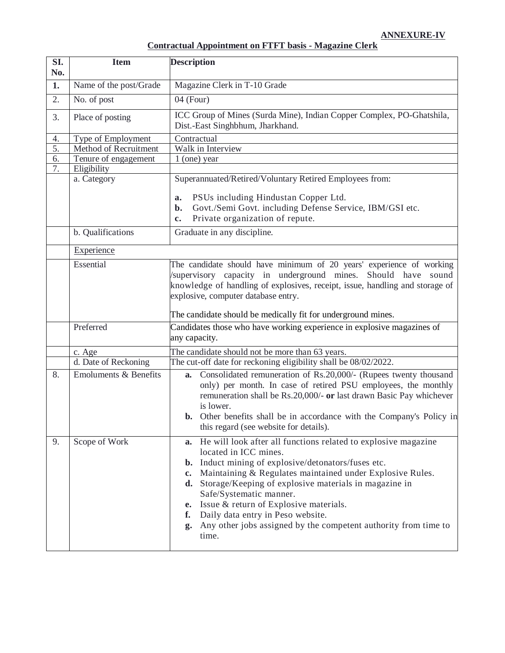# **Contractual Appointment on FTFT basis - Magazine Clerk**

| SI.<br>No.           | <b>Item</b>                                                                                                                                       | <b>Description</b>                                                                                                                                                                                                                                                                                                                                                                                                                                                                                                                                                                            |  |
|----------------------|---------------------------------------------------------------------------------------------------------------------------------------------------|-----------------------------------------------------------------------------------------------------------------------------------------------------------------------------------------------------------------------------------------------------------------------------------------------------------------------------------------------------------------------------------------------------------------------------------------------------------------------------------------------------------------------------------------------------------------------------------------------|--|
| 1.                   | Name of the post/Grade                                                                                                                            | Magazine Clerk in T-10 Grade                                                                                                                                                                                                                                                                                                                                                                                                                                                                                                                                                                  |  |
| 2.                   | No. of post                                                                                                                                       | $04$ (Four)                                                                                                                                                                                                                                                                                                                                                                                                                                                                                                                                                                                   |  |
| 3.                   | Place of posting                                                                                                                                  | ICC Group of Mines (Surda Mine), Indian Copper Complex, PO-Ghatshila,<br>Dist.-East Singhbhum, Jharkhand.                                                                                                                                                                                                                                                                                                                                                                                                                                                                                     |  |
| 4.<br>5.<br>6.<br>7. | Type of Employment<br>Method of Recruitment<br>Tenure of engagement<br>Eligibility<br>a. Category<br>b. Qualifications<br>Experience<br>Essential | Contractual<br>Walk in Interview<br>$1$ (one) year<br>Superannuated/Retired/Voluntary Retired Employees from:<br>PSUs including Hindustan Copper Ltd.<br>a.<br>Govt./Semi Govt. including Defense Service, IBM/GSI etc.<br>$\mathbf{b}$ .<br>Private organization of repute.<br>$\mathbf{c}$ .<br>Graduate in any discipline.<br>The candidate should have minimum of 20 years' experience of working<br>/supervisory capacity in underground mines. Should have sound<br>knowledge of handling of explosives, receipt, issue, handling and storage of<br>explosive, computer database entry. |  |
|                      | Preferred                                                                                                                                         | The candidate should be medically fit for underground mines.<br>Candidates those who have working experience in explosive magazines of                                                                                                                                                                                                                                                                                                                                                                                                                                                        |  |
|                      |                                                                                                                                                   | any capacity.                                                                                                                                                                                                                                                                                                                                                                                                                                                                                                                                                                                 |  |
|                      | c. Age                                                                                                                                            | The candidate should not be more than 63 years.                                                                                                                                                                                                                                                                                                                                                                                                                                                                                                                                               |  |
| 8.                   | d. Date of Reckoning<br><b>Emoluments &amp; Benefits</b>                                                                                          | The cut-off date for reckoning eligibility shall be 08/02/2022.<br>Consolidated remuneration of Rs.20,000/- (Rupees twenty thousand<br>a.<br>only) per month. In case of retired PSU employees, the monthly<br>remuneration shall be Rs.20,000/- or last drawn Basic Pay whichever<br>is lower.<br><b>b.</b> Other benefits shall be in accordance with the Company's Policy in<br>this regard (see website for details).                                                                                                                                                                     |  |
| 9.                   | Scope of Work                                                                                                                                     | He will look after all functions related to explosive magazine<br>a.<br>located in ICC mines.<br><b>b.</b> Induct mining of explosive/detonators/fuses etc.<br>Maintaining & Regulates maintained under Explosive Rules.<br>$c_{\bullet}$<br>Storage/Keeping of explosive materials in magazine in<br>d.<br>Safe/Systematic manner.<br>Issue & return of Explosive materials.<br>e.<br>Daily data entry in Peso website.<br>f.<br>Any other jobs assigned by the competent authority from time to<br>g.<br>time.                                                                              |  |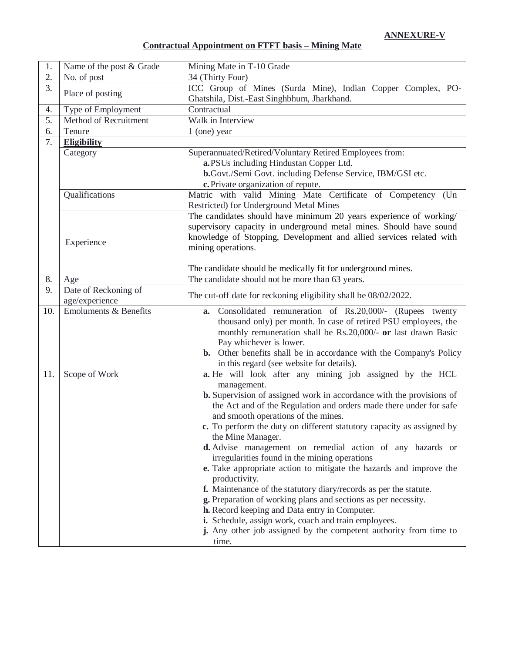## **Contractual Appointment on FTFT basis – Mining Mate**

| 1.  | Name of the post & Grade         | Mining Mate in T-10 Grade                                                                                                                                               |
|-----|----------------------------------|-------------------------------------------------------------------------------------------------------------------------------------------------------------------------|
| 2.  | No. of post                      | 34 (Thirty Four)                                                                                                                                                        |
| 3.  | Place of posting                 | ICC Group of Mines (Surda Mine), Indian Copper Complex, PO-                                                                                                             |
|     |                                  | Ghatshila, Dist.-East Singhbhum, Jharkhand.                                                                                                                             |
| 4.  | Type of Employment               | Contractual                                                                                                                                                             |
| 5.  | Method of Recruitment            | Walk in Interview                                                                                                                                                       |
| 6.  | Tenure                           | $1$ (one) year                                                                                                                                                          |
| 7.  | <b>Eligibility</b>               |                                                                                                                                                                         |
|     | Category                         | Superannuated/Retired/Voluntary Retired Employees from:                                                                                                                 |
|     |                                  | a.PSUs including Hindustan Copper Ltd.                                                                                                                                  |
|     |                                  | b.Govt./Semi Govt. including Defense Service, IBM/GSI etc.                                                                                                              |
|     |                                  | c. Private organization of repute.                                                                                                                                      |
|     | Qualifications                   | Matric with valid Mining Mate Certificate of Competency (Un<br>Restricted) for Underground Metal Mines                                                                  |
|     |                                  | The candidates should have minimum 20 years experience of working/                                                                                                      |
|     |                                  | supervisory capacity in underground metal mines. Should have sound                                                                                                      |
|     |                                  | knowledge of Stopping, Development and allied services related with                                                                                                     |
|     | Experience                       | mining operations.                                                                                                                                                      |
|     |                                  |                                                                                                                                                                         |
|     |                                  | The candidate should be medically fit for underground mines.                                                                                                            |
| 8.  | Age                              | The candidate should not be more than 63 years.                                                                                                                         |
| 9.  | Date of Reckoning of             | The cut-off date for reckoning eligibility shall be 08/02/2022.                                                                                                         |
|     | age/experience                   |                                                                                                                                                                         |
| 10. | <b>Emoluments &amp; Benefits</b> | a. Consolidated remuneration of Rs.20,000/- (Rupees twenty                                                                                                              |
|     |                                  | thousand only) per month. In case of retired PSU employees, the                                                                                                         |
|     |                                  | monthly remuneration shall be Rs.20,000/- or last drawn Basic<br>Pay whichever is lower.                                                                                |
|     |                                  | <b>b.</b> Other benefits shall be in accordance with the Company's Policy                                                                                               |
|     |                                  | in this regard (see website for details).                                                                                                                               |
| 11. | Scope of Work                    | a. He will look after any mining job assigned by the HCL                                                                                                                |
|     |                                  | management.                                                                                                                                                             |
|     |                                  | <b>b.</b> Supervision of assigned work in accordance with the provisions of                                                                                             |
|     |                                  | the Act and of the Regulation and orders made there under for safe                                                                                                      |
|     |                                  | and smooth operations of the mines.                                                                                                                                     |
|     |                                  | c. To perform the duty on different statutory capacity as assigned by                                                                                                   |
|     |                                  | the Mine Manager.                                                                                                                                                       |
|     |                                  | d. Advise management on remedial action of any hazards or                                                                                                               |
|     |                                  | irregularities found in the mining operations                                                                                                                           |
|     |                                  | e. Take appropriate action to mitigate the hazards and improve the                                                                                                      |
|     |                                  | productivity.                                                                                                                                                           |
|     |                                  | f. Maintenance of the statutory diary/records as per the statute.                                                                                                       |
|     |                                  |                                                                                                                                                                         |
|     |                                  |                                                                                                                                                                         |
|     |                                  | j. Any other job assigned by the competent authority from time to                                                                                                       |
|     |                                  | time.                                                                                                                                                                   |
|     |                                  | g. Preparation of working plans and sections as per necessity.<br>h. Record keeping and Data entry in Computer.<br>i. Schedule, assign work, coach and train employees. |
|     |                                  |                                                                                                                                                                         |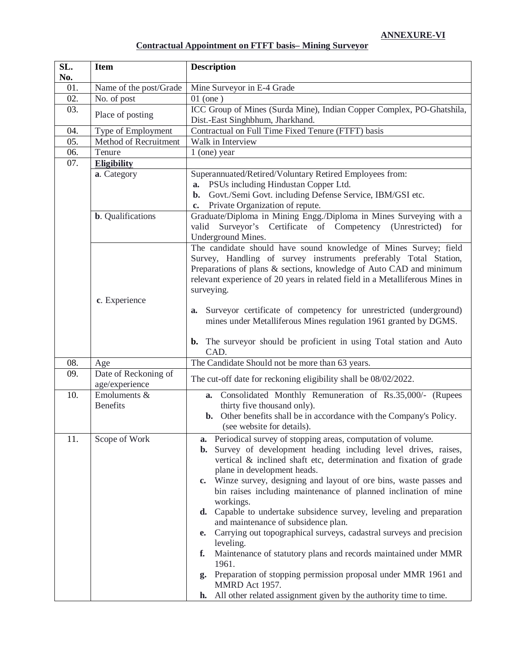# **Contractual Appointment on FTFT basis– Mining Surveyor**

| SL.<br>No. | <b>Item</b>                            | <b>Description</b>                                                                                                                                                                                                                                                                                                                                                                                                                                                                                                                                                                                                                                                                                                                                                                                                                                                                            |
|------------|----------------------------------------|-----------------------------------------------------------------------------------------------------------------------------------------------------------------------------------------------------------------------------------------------------------------------------------------------------------------------------------------------------------------------------------------------------------------------------------------------------------------------------------------------------------------------------------------------------------------------------------------------------------------------------------------------------------------------------------------------------------------------------------------------------------------------------------------------------------------------------------------------------------------------------------------------|
| 01.        | Name of the post/Grade                 | Mine Surveyor in E-4 Grade                                                                                                                                                                                                                                                                                                                                                                                                                                                                                                                                                                                                                                                                                                                                                                                                                                                                    |
| 02.        | No. of post                            | $01$ (one)                                                                                                                                                                                                                                                                                                                                                                                                                                                                                                                                                                                                                                                                                                                                                                                                                                                                                    |
| 03.        | Place of posting                       | ICC Group of Mines (Surda Mine), Indian Copper Complex, PO-Ghatshila,<br>Dist.-East Singhbhum, Jharkhand.                                                                                                                                                                                                                                                                                                                                                                                                                                                                                                                                                                                                                                                                                                                                                                                     |
| 04.        | Type of Employment                     | Contractual on Full Time Fixed Tenure (FTFT) basis                                                                                                                                                                                                                                                                                                                                                                                                                                                                                                                                                                                                                                                                                                                                                                                                                                            |
| 05.        | Method of Recruitment                  | Walk in Interview                                                                                                                                                                                                                                                                                                                                                                                                                                                                                                                                                                                                                                                                                                                                                                                                                                                                             |
| 06.        | Tenure                                 | 1 (one) year                                                                                                                                                                                                                                                                                                                                                                                                                                                                                                                                                                                                                                                                                                                                                                                                                                                                                  |
| 07.        | <b>Eligibility</b>                     |                                                                                                                                                                                                                                                                                                                                                                                                                                                                                                                                                                                                                                                                                                                                                                                                                                                                                               |
|            | a. Category                            | Superannuated/Retired/Voluntary Retired Employees from:<br>a. PSUs including Hindustan Copper Ltd.<br>Govt./Semi Govt. including Defense Service, IBM/GSI etc.<br>b.<br>Private Organization of repute.<br>$c_{\bullet}$                                                                                                                                                                                                                                                                                                                                                                                                                                                                                                                                                                                                                                                                      |
|            | <b>b.</b> Qualifications               | Graduate/Diploma in Mining Engg./Diploma in Mines Surveying with a<br>Surveyor's Certificate of Competency (Unrestricted)<br>valid<br>for<br>Underground Mines.                                                                                                                                                                                                                                                                                                                                                                                                                                                                                                                                                                                                                                                                                                                               |
|            | c. Experience                          | The candidate should have sound knowledge of Mines Survey; field<br>Survey, Handling of survey instruments preferably Total Station,<br>Preparations of plans & sections, knowledge of Auto CAD and minimum<br>relevant experience of 20 years in related field in a Metalliferous Mines in<br>surveying.<br>Surveyor certificate of competency for unrestricted (underground)<br>a.<br>mines under Metalliferous Mines regulation 1961 granted by DGMS.                                                                                                                                                                                                                                                                                                                                                                                                                                      |
|            |                                        | The surveyor should be proficient in using Total station and Auto<br>b.<br>CAD.                                                                                                                                                                                                                                                                                                                                                                                                                                                                                                                                                                                                                                                                                                                                                                                                               |
| 08.        | Age                                    | The Candidate Should not be more than 63 years.                                                                                                                                                                                                                                                                                                                                                                                                                                                                                                                                                                                                                                                                                                                                                                                                                                               |
| 09.        | Date of Reckoning of<br>age/experience | The cut-off date for reckoning eligibility shall be 08/02/2022.                                                                                                                                                                                                                                                                                                                                                                                                                                                                                                                                                                                                                                                                                                                                                                                                                               |
| 10.        | Emoluments &<br><b>Benefits</b>        | a. Consolidated Monthly Remuneration of Rs.35,000/- (Rupees<br>thirty five thousand only).<br><b>b.</b> Other benefits shall be in accordance with the Company's Policy.<br>(see website for details).                                                                                                                                                                                                                                                                                                                                                                                                                                                                                                                                                                                                                                                                                        |
| 11.        | Scope of Work                          | Periodical survey of stopping areas, computation of volume.<br>a.<br>Survey of development heading including level drives, raises,<br>$\mathbf{b}$ .<br>vertical & inclined shaft etc, determination and fixation of grade<br>plane in development heads.<br>Winze survey, designing and layout of ore bins, waste passes and<br>$c_{\bullet}$<br>bin raises including maintenance of planned inclination of mine<br>workings.<br>d. Capable to undertake subsidence survey, leveling and preparation<br>and maintenance of subsidence plan.<br>Carrying out topographical surveys, cadastral surveys and precision<br>e.<br>leveling.<br>Maintenance of statutory plans and records maintained under MMR<br>f.<br>1961.<br>Preparation of stopping permission proposal under MMR 1961 and<br>g.<br>MMRD Act 1957.<br>All other related assignment given by the authority time to time.<br>h. |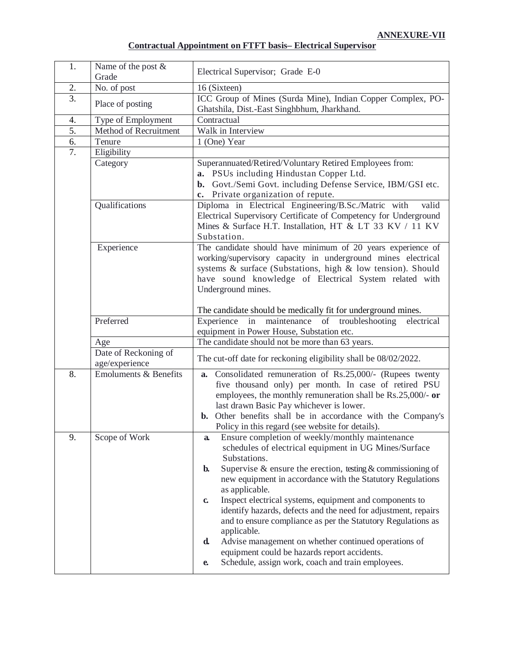# **Contractual Appointment on FTFT basis– Electrical Supervisor**

| 1.               | Name of the post &<br>Grade            | Electrical Supervisor; Grade E-0                                                                                                                                                                                                                                                                                                                                                                                                                                                                                                                                                                                                                                                                                  |
|------------------|----------------------------------------|-------------------------------------------------------------------------------------------------------------------------------------------------------------------------------------------------------------------------------------------------------------------------------------------------------------------------------------------------------------------------------------------------------------------------------------------------------------------------------------------------------------------------------------------------------------------------------------------------------------------------------------------------------------------------------------------------------------------|
| 2.               | No. of post                            | 16 (Sixteen)                                                                                                                                                                                                                                                                                                                                                                                                                                                                                                                                                                                                                                                                                                      |
| $\overline{3}$ . | Place of posting                       | ICC Group of Mines (Surda Mine), Indian Copper Complex, PO-<br>Ghatshila, Dist.-East Singhbhum, Jharkhand.                                                                                                                                                                                                                                                                                                                                                                                                                                                                                                                                                                                                        |
| 4.               | Type of Employment                     | Contractual                                                                                                                                                                                                                                                                                                                                                                                                                                                                                                                                                                                                                                                                                                       |
| 5.               | Method of Recruitment                  | Walk in Interview                                                                                                                                                                                                                                                                                                                                                                                                                                                                                                                                                                                                                                                                                                 |
| 6.               | Tenure                                 | 1 (One) Year                                                                                                                                                                                                                                                                                                                                                                                                                                                                                                                                                                                                                                                                                                      |
| 7.               | Eligibility                            |                                                                                                                                                                                                                                                                                                                                                                                                                                                                                                                                                                                                                                                                                                                   |
|                  | Category                               | Superannuated/Retired/Voluntary Retired Employees from:<br>a. PSUs including Hindustan Copper Ltd.<br>b. Govt./Semi Govt. including Defense Service, IBM/GSI etc.<br>c. Private organization of repute.                                                                                                                                                                                                                                                                                                                                                                                                                                                                                                           |
|                  | Qualifications                         | Diploma in Electrical Engineering/B.Sc./Matric with<br>valid<br>Electrical Supervisory Certificate of Competency for Underground<br>Mines & Surface H.T. Installation, HT & LT 33 KV / 11 KV<br>Substation.                                                                                                                                                                                                                                                                                                                                                                                                                                                                                                       |
|                  | Experience                             | The candidate should have minimum of 20 years experience of<br>working/supervisory capacity in underground mines electrical<br>systems & surface (Substations, high & low tension). Should<br>have sound knowledge of Electrical System related with<br>Underground mines.                                                                                                                                                                                                                                                                                                                                                                                                                                        |
|                  | Preferred                              | The candidate should be medically fit for underground mines.<br>Experience in maintenance of troubleshooting<br>electrical                                                                                                                                                                                                                                                                                                                                                                                                                                                                                                                                                                                        |
|                  | Age                                    | equipment in Power House, Substation etc.<br>The candidate should not be more than 63 years.                                                                                                                                                                                                                                                                                                                                                                                                                                                                                                                                                                                                                      |
|                  | Date of Reckoning of<br>age/experience | The cut-off date for reckoning eligibility shall be 08/02/2022.                                                                                                                                                                                                                                                                                                                                                                                                                                                                                                                                                                                                                                                   |
| 8.               | <b>Emoluments &amp; Benefits</b>       | a. Consolidated remuneration of Rs.25,000/- (Rupees twenty<br>five thousand only) per month. In case of retired PSU<br>employees, the monthly remuneration shall be Rs.25,000/- or<br>last drawn Basic Pay whichever is lower.<br><b>b.</b> Other benefits shall be in accordance with the Company's<br>Policy in this regard (see website for details).                                                                                                                                                                                                                                                                                                                                                          |
| 9.               | Scope of Work                          | Ensure completion of weekly/monthly maintenance<br>a.<br>schedules of electrical equipment in UG Mines/Surface<br>Substations.<br>Supervise $\&$ ensure the erection, testing $\&$ commissioning of<br>$\mathbf{b}$ .<br>new equipment in accordance with the Statutory Regulations<br>as applicable.<br>Inspect electrical systems, equipment and components to<br>$\mathbf{c}$<br>identify hazards, defects and the need for adjustment, repairs<br>and to ensure compliance as per the Statutory Regulations as<br>applicable.<br>Advise management on whether continued operations of<br>d.<br>equipment could be hazards report accidents.<br>Schedule, assign work, coach and train employees.<br>${\bf e}$ |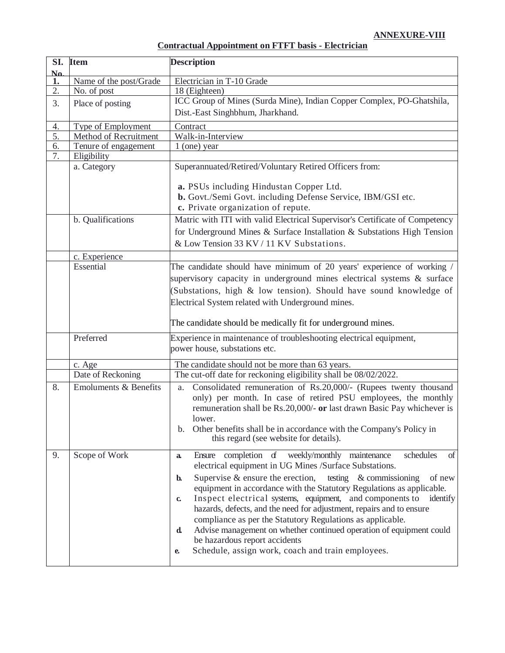## **Contractual Appointment on FTFT basis - Electrician**

|                        | SI. Item                         | <b>Description</b>                                                                                                                                                                                                                                                                                                                                                                                                                                                                                                                                                                                                                                                                                                |
|------------------------|----------------------------------|-------------------------------------------------------------------------------------------------------------------------------------------------------------------------------------------------------------------------------------------------------------------------------------------------------------------------------------------------------------------------------------------------------------------------------------------------------------------------------------------------------------------------------------------------------------------------------------------------------------------------------------------------------------------------------------------------------------------|
| $\mathbf{N}\mathbf{a}$ |                                  |                                                                                                                                                                                                                                                                                                                                                                                                                                                                                                                                                                                                                                                                                                                   |
| 1.                     | Name of the post/Grade           | Electrician in T-10 Grade                                                                                                                                                                                                                                                                                                                                                                                                                                                                                                                                                                                                                                                                                         |
| 2.                     | No. of post                      | 18 (Eighteen)                                                                                                                                                                                                                                                                                                                                                                                                                                                                                                                                                                                                                                                                                                     |
| 3.                     | Place of posting                 | ICC Group of Mines (Surda Mine), Indian Copper Complex, PO-Ghatshila,                                                                                                                                                                                                                                                                                                                                                                                                                                                                                                                                                                                                                                             |
|                        |                                  | Dist.-East Singhbhum, Jharkhand.                                                                                                                                                                                                                                                                                                                                                                                                                                                                                                                                                                                                                                                                                  |
| 4.                     | Type of Employment               | Contract                                                                                                                                                                                                                                                                                                                                                                                                                                                                                                                                                                                                                                                                                                          |
| 5.                     | Method of Recruitment            | Walk-in-Interview                                                                                                                                                                                                                                                                                                                                                                                                                                                                                                                                                                                                                                                                                                 |
| 6.                     | Tenure of engagement             | $1$ (one) year                                                                                                                                                                                                                                                                                                                                                                                                                                                                                                                                                                                                                                                                                                    |
| 7.                     | Eligibility                      |                                                                                                                                                                                                                                                                                                                                                                                                                                                                                                                                                                                                                                                                                                                   |
|                        | a. Category                      | Superannuated/Retired/Voluntary Retired Officers from:                                                                                                                                                                                                                                                                                                                                                                                                                                                                                                                                                                                                                                                            |
|                        |                                  | a. PSUs including Hindustan Copper Ltd.<br>b. Govt./Semi Govt. including Defense Service, IBM/GSI etc.<br>c. Private organization of repute.                                                                                                                                                                                                                                                                                                                                                                                                                                                                                                                                                                      |
|                        | b. Qualifications                | Matric with ITI with valid Electrical Supervisor's Certificate of Competency<br>for Underground Mines & Surface Installation & Substations High Tension<br>& Low Tension 33 KV / 11 KV Substations.                                                                                                                                                                                                                                                                                                                                                                                                                                                                                                               |
|                        | c. Experience                    |                                                                                                                                                                                                                                                                                                                                                                                                                                                                                                                                                                                                                                                                                                                   |
|                        | Essential                        | The candidate should have minimum of 20 years' experience of working /<br>supervisory capacity in underground mines electrical systems & surface<br>(Substations, high & low tension). Should have sound knowledge of<br>Electrical System related with Underground mines.<br>The candidate should be medically fit for underground mines.                                                                                                                                                                                                                                                                                                                                                                        |
|                        | Preferred                        | Experience in maintenance of troubleshooting electrical equipment,                                                                                                                                                                                                                                                                                                                                                                                                                                                                                                                                                                                                                                                |
|                        |                                  | power house, substations etc.                                                                                                                                                                                                                                                                                                                                                                                                                                                                                                                                                                                                                                                                                     |
|                        | c. Age                           | The candidate should not be more than 63 years.                                                                                                                                                                                                                                                                                                                                                                                                                                                                                                                                                                                                                                                                   |
|                        | Date of Reckoning                | The cut-off date for reckoning eligibility shall be 08/02/2022.                                                                                                                                                                                                                                                                                                                                                                                                                                                                                                                                                                                                                                                   |
| 8.                     | <b>Emoluments &amp; Benefits</b> | Consolidated remuneration of Rs.20,000/- (Rupees twenty thousand<br>a.<br>only) per month. In case of retired PSU employees, the monthly<br>remuneration shall be Rs.20,000/- or last drawn Basic Pay whichever is<br>lower.<br>Other benefits shall be in accordance with the Company's Policy in<br>$\mathbf{b}$ .<br>this regard (see website for details).                                                                                                                                                                                                                                                                                                                                                    |
| 9.                     | Scope of Work                    | Ensure completion of weekly/monthly maintenance<br>schedules<br>of<br>a.<br>electrical equipment in UG Mines /Surface Substations.<br>Supervise $\&$ ensure the erection,<br>testing $\&$ commissioning<br>of new<br>$\mathbf{b}$<br>equipment in accordance with the Statutory Regulations as applicable.<br>Inspect electrical systems, equipment, and components to<br>identify<br>$\mathbf{c}$<br>hazards, defects, and the need for adjustment, repairs and to ensure<br>compliance as per the Statutory Regulations as applicable.<br>Advise management on whether continued operation of equipment could<br>d.<br>be hazardous report accidents<br>Schedule, assign work, coach and train employees.<br>e. |